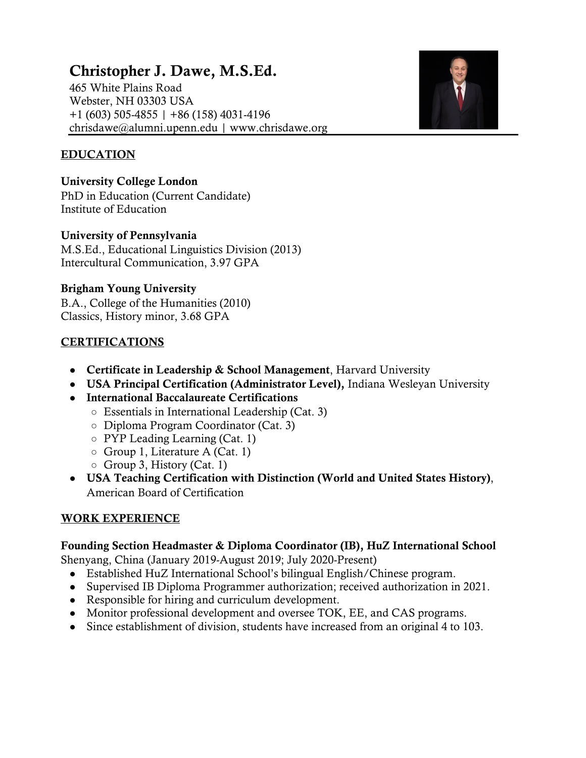# Christopher J. Dawe, M.S.Ed.

465 White Plains Road Webster, NH 03303 USA +1 (603) 505-4855 | +86 (158) 4031-4196 chrisdawe@alumni.upenn.edu | www.chrisdawe.org



## EDUCATION

University College London PhD in Education (Current Candidate) Institute of Education

#### University of Pennsylvania

M.S.Ed., Educational Linguistics Division (2013) Intercultural Communication, 3.97 GPA

## Brigham Young University

B.A., College of the Humanities (2010) Classics, History minor, 3.68 GPA

# **CERTIFICATIONS**

- Certificate in Leadership & School Management, Harvard University
- USA Principal Certification (Administrator Level), Indiana Wesleyan University
- International Baccalaureate Certifications
	- Essentials in International Leadership (Cat. 3)
	- Diploma Program Coordinator (Cat. 3)
	- PYP Leading Learning (Cat. 1)
	- Group 1, Literature A (Cat. 1)
	- $\circ$  Group 3, History (Cat. 1)
- USA Teaching Certification with Distinction (World and United States History), American Board of Certification

## WORK EXPERIENCE

## Founding Section Headmaster & Diploma Coordinator (IB), HuZ International School

Shenyang, China (January 2019-August 2019; July 2020-Present)

- Established HuZ International School's bilingual English/Chinese program.
- Supervised IB Diploma Programmer authorization; received authorization in 2021.
- Responsible for hiring and curriculum development.
- Monitor professional development and oversee TOK, EE, and CAS programs.
- Since establishment of division, students have increased from an original 4 to 103.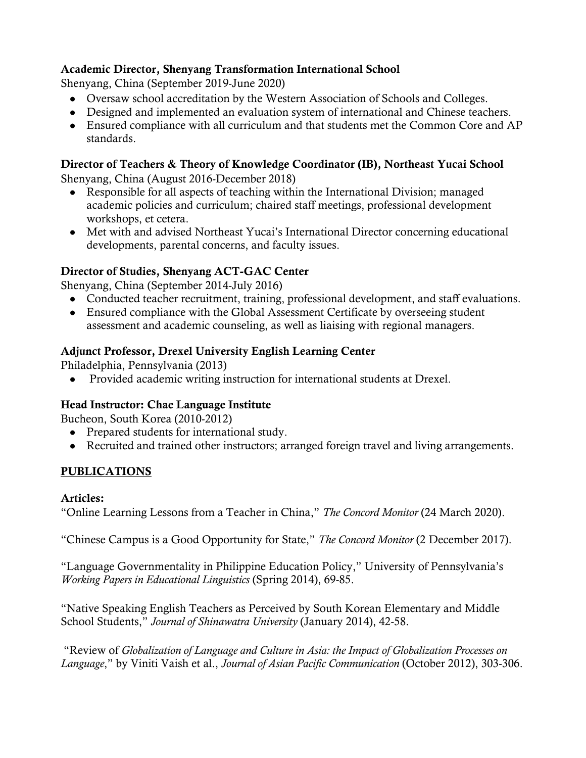# Academic Director, Shenyang Transformation International School

Shenyang, China (September 2019-June 2020)

- Oversaw school accreditation by the Western Association of Schools and Colleges.
- Designed and implemented an evaluation system of international and Chinese teachers.
- Ensured compliance with all curriculum and that students met the Common Core and AP standards.

## Director of Teachers & Theory of Knowledge Coordinator (IB), Northeast Yucai School

Shenyang, China (August 2016-December 2018)

- Responsible for all aspects of teaching within the International Division; managed academic policies and curriculum; chaired staff meetings, professional development workshops, et cetera.
- Met with and advised Northeast Yucai's International Director concerning educational developments, parental concerns, and faculty issues.

## Director of Studies, Shenyang ACT-GAC Center

Shenyang, China (September 2014-July 2016)

- Conducted teacher recruitment, training, professional development, and staff evaluations.
- Ensured compliance with the Global Assessment Certificate by overseeing student assessment and academic counseling, as well as liaising with regional managers.

#### Adjunct Professor, Drexel University English Learning Center

Philadelphia, Pennsylvania (2013)

● Provided academic writing instruction for international students at Drexel.

#### Head Instructor: Chae Language Institute

Bucheon, South Korea (2010-2012)

- Prepared students for international study.
- Recruited and trained other instructors; arranged foreign travel and living arrangements.

## PUBLICATIONS

#### Articles:

"Online Learning Lessons from a Teacher in China," *The Concord Monitor* (24 March 2020).

"Chinese Campus is a Good Opportunity for State," *The Concord Monitor* (2 December 2017).

"Language Governmentality in Philippine Education Policy," University of Pennsylvania's *Working Papers in Educational Linguistics* (Spring 2014), 69-85.

"Native Speaking English Teachers as Perceived by South Korean Elementary and Middle School Students," *Journal of Shinawatra University* (January 2014), 42-58.

"Review of *Globalization of Language and Culture in Asia: the Impact of Globalization Processes on Language*," by Viniti Vaish et al., *Journal of Asian Pacific Communication* (October 2012), 303-306.